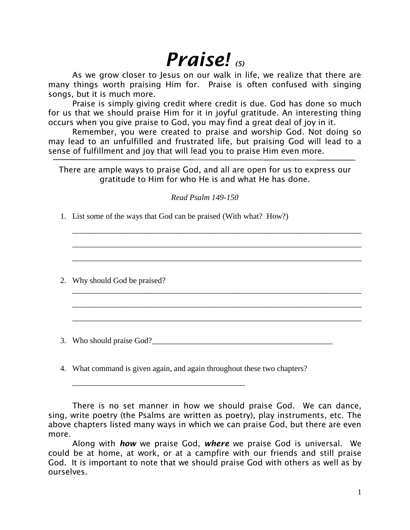# *Praise! (5)*

As we grow closer to Jesus on our walk in life, we realize that there are many things worth praising Him for. Praise is often confused with singing songs, but it is much more.

Praise is simply giving credit where credit is due. God has done so much for us that we should praise Him for it in joyful gratitude. An interesting thing occurs when you give praise to God, you may find a great deal of joy in it.

Remember, you were created to praise and worship God. Not doing so may lead to an unfulfilled and frustrated life, but praising God will lead to a sense of fulfillment and joy that will lead you to praise Him even more.

There are ample ways to praise God, and all are open for us to express our gratitude to Him for who He is and what He has done.

*Read Psalm 149-150*

\_\_\_\_\_\_\_\_\_\_\_\_\_\_\_\_\_\_\_\_\_\_\_\_\_\_\_\_\_\_\_\_\_\_\_\_\_\_\_\_\_\_\_\_\_\_\_\_\_\_\_\_\_\_\_\_\_\_\_\_\_\_\_\_\_\_\_\_\_\_\_\_

\_\_\_\_\_\_\_\_\_\_\_\_\_\_\_\_\_\_\_\_\_\_\_\_\_\_\_\_\_\_\_\_\_\_\_\_\_\_\_\_\_\_\_\_\_\_\_\_\_\_\_\_\_\_\_\_\_\_\_\_\_\_\_\_\_\_\_\_\_\_\_\_

\_\_\_\_\_\_\_\_\_\_\_\_\_\_\_\_\_\_\_\_\_\_\_\_\_\_\_\_\_\_\_\_\_\_\_\_\_\_\_\_\_\_\_\_\_\_\_\_\_\_\_\_\_\_\_\_\_\_\_\_\_\_\_\_\_\_\_\_\_\_\_\_

\_\_\_\_\_\_\_\_\_\_\_\_\_\_\_\_\_\_\_\_\_\_\_\_\_\_\_\_\_\_\_\_\_\_\_\_\_\_\_\_\_\_\_\_\_\_\_\_\_\_\_\_\_\_\_\_\_\_\_\_\_\_\_\_\_\_\_\_\_\_\_\_

\_\_\_\_\_\_\_\_\_\_\_\_\_\_\_\_\_\_\_\_\_\_\_\_\_\_\_\_\_\_\_\_\_\_\_\_\_\_\_\_\_\_\_\_\_\_\_\_\_\_\_\_\_\_\_\_\_\_\_\_\_\_\_\_\_\_\_\_\_\_\_\_

\_\_\_\_\_\_\_\_\_\_\_\_\_\_\_\_\_\_\_\_\_\_\_\_\_\_\_\_\_\_\_\_\_\_\_\_\_\_\_\_\_\_\_\_\_\_\_\_\_\_\_\_\_\_\_\_\_\_\_\_\_\_\_\_\_\_\_\_\_\_\_\_

1. List some of the ways that God can be praised (With what? How?)

2. Why should God be praised?

3. Who should praise God?\_\_\_\_\_\_\_\_\_\_\_\_\_\_\_\_\_\_\_\_\_\_\_\_\_\_\_\_\_\_\_\_\_\_\_\_\_\_\_\_\_\_\_\_\_

4. What command is given again, and again throughout these two chapters?

 $\overline{\phantom{a}}$  , which is a set of the set of the set of the set of the set of the set of the set of the set of the set of the set of the set of the set of the set of the set of the set of the set of the set of the set of th

There is no set manner in how we should praise God. We can dance, sing, write poetry (the Psalms are written as poetry), play instruments, etc. The above chapters listed many ways in which we can praise God, but there are even more.

Along with *how* we praise God, *where* we praise God is universal. We could be at home, at work, or at a campfire with our friends and still praise God. It is important to note that we should praise God with others as well as by ourselves.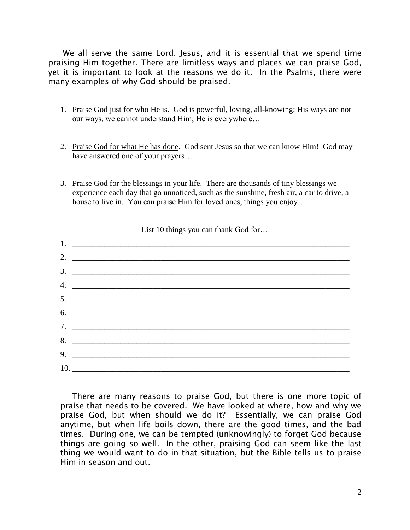We all serve the same Lord, Jesus, and it is essential that we spend time praising Him together. There are limitless ways and places we can praise God, yet it is important to look at the reasons we do it. In the Psalms, there were many examples of why God should be praised.

- 1. Praise God just for who He is. God is powerful, loving, all-knowing; His ways are not our ways, we cannot understand Him; He is everywhere…
- 2. Praise God for what He has done. God sent Jesus so that we can know Him! God may have answered one of your prayers…
- 3. Praise God for the blessings in your life. There are thousands of tiny blessings we experience each day that go unnoticed, such as the sunshine, fresh air, a car to drive, a house to live in. You can praise Him for loved ones, things you enjoy…

| 2. $\qquad \qquad$             |
|--------------------------------|
| $\frac{3}{2}$                  |
| 4. $\overline{\phantom{a}}$    |
|                                |
| 6.                             |
|                                |
| 8.                             |
|                                |
| $10.$ $\overline{\phantom{a}}$ |

List 10 things you can thank God for...

There are many reasons to praise God, but there is one more topic of praise that needs to be covered. We have looked at where, how and why we praise God, but when should we do it? Essentially, we can praise God anytime, but when life boils down, there are the good times, and the bad times. During one, we can be tempted (unknowingly) to forget God because things are going so well. In the other, praising God can seem like the last thing we would want to do in that situation, but the Bible tells us to praise Him in season and out.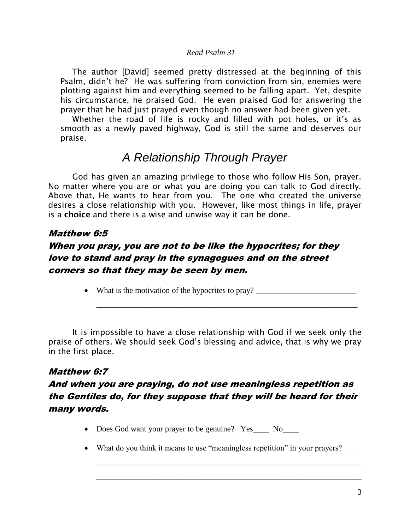#### *Read Psalm 31*

The author [David] seemed pretty distressed at the beginning of this Psalm, didn't he? He was suffering from conviction from sin, enemies were plotting against him and everything seemed to be falling apart. Yet, despite his circumstance, he praised God. He even praised God for answering the prayer that he had just prayed even though no answer had been given yet.

Whether the road of life is rocky and filled with pot holes, or it's as smooth as a newly paved highway, God is still the same and deserves our praise.

# *A Relationship Through Prayer*

God has given an amazing privilege to those who follow His Son, prayer. No matter where you are or what you are doing you can talk to God directly. Above that, He wants to hear from you. The one who created the universe desires a close relationship with you. However, like most things in life, prayer is a **choice** and there is a wise and unwise way it can be done.

#### Matthew 6:5

## When you pray, you are not to be like the hypocrites; for they love to stand and pray in the synagogues and on the street corners so that they may be seen by men.

• What is the motivation of the hypocrites to pray? \_\_\_\_\_\_\_\_\_\_\_\_\_\_\_\_\_\_\_\_\_\_\_\_\_\_\_\_

\_\_\_\_\_\_\_\_\_\_\_\_\_\_\_\_\_\_\_\_\_\_\_\_\_\_\_\_\_\_\_\_\_\_\_\_\_\_\_\_\_\_\_\_\_\_\_\_\_\_\_\_\_\_\_\_\_\_\_\_\_\_\_\_\_

It is impossible to have a close relationship with God if we seek only the praise of others. We should seek God's blessing and advice, that is why we pray in the first place.

#### Matthew 6:7

## And when you are praying, do not use meaningless repetition as the Gentiles do, for they suppose that they will be heard for their many words.

- Does God want your prayer to be genuine? Yes\_\_\_\_ No\_\_\_\_
- What do you think it means to use "meaningless repetition" in your prayers?

\_\_\_\_\_\_\_\_\_\_\_\_\_\_\_\_\_\_\_\_\_\_\_\_\_\_\_\_\_\_\_\_\_\_\_\_\_\_\_\_\_\_\_\_\_\_\_\_\_\_\_\_\_\_\_\_\_\_\_\_\_\_\_\_\_\_

\_\_\_\_\_\_\_\_\_\_\_\_\_\_\_\_\_\_\_\_\_\_\_\_\_\_\_\_\_\_\_\_\_\_\_\_\_\_\_\_\_\_\_\_\_\_\_\_\_\_\_\_\_\_\_\_\_\_\_\_\_\_\_\_\_\_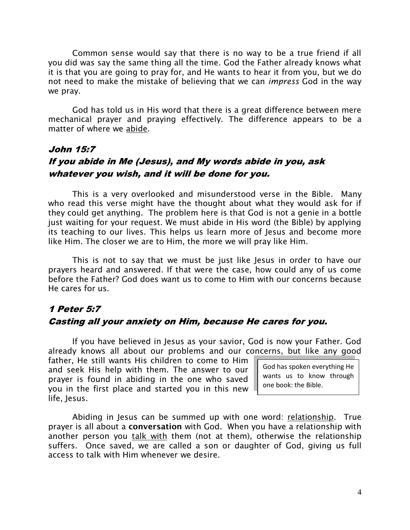Common sense would say that there is no way to be a true friend if all you did was say the same thing all the time. God the Father already knows what it is that you are going to pray for, and He wants to hear it from you, but we do not need to make the mistake of believing that we can *impress* God in the way we pray.

God has told us in His word that there is a great difference between mere mechanical prayer and praying effectively. The difference appears to be a matter of where we abide.

## John 15:7 If you abide in Me (Jesus), and My words abide in you, ask whatever you wish, and it will be done for you.

This is a very overlooked and misunderstood verse in the Bible. Many who read this verse might have the thought about what they would ask for if they could get anything. The problem here is that God is not a genie in a bottle just waiting for your request. We must abide in His word (the Bible) by applying its teaching to our lives. This helps us learn more of Jesus and become more like Him. The closer we are to Him, the more we will pray like Him.

This is not to say that we must be just like Jesus in order to have our prayers heard and answered. If that were the case, how could any of us come before the Father? God does want us to come to Him with our concerns because He cares for us.

## 1 Peter 5:7 Casting all your anxiety on Him, because He cares for you.

If you have believed in Jesus as your savior, God is now your Father. God already knows all about our problems and our concerns, but like any good

father, He still wants His children to come to Him and seek His help with them. The answer to our prayer is found in abiding in the one who saved you in the first place and started you in this new life, Jesus.

God has spoken everything He wants us to know through one book: the Bible.

Abiding in Jesus can be summed up with one word: relationship. True prayer is all about a **conversation** with God. When you have a relationship with another person you talk with them (not at them), otherwise the relationship suffers. Once saved, we are called a son or daughter of God, giving us full access to talk with Him whenever we desire.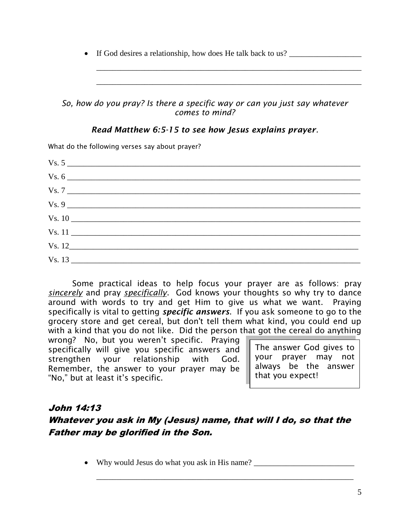• If God desires a relationship, how does He talk back to us?

#### *So, how do you pray? Is there a specific way or can you just say whatever comes to mind?*

\_\_\_\_\_\_\_\_\_\_\_\_\_\_\_\_\_\_\_\_\_\_\_\_\_\_\_\_\_\_\_\_\_\_\_\_\_\_\_\_\_\_\_\_\_\_\_\_\_\_\_\_\_\_\_\_\_\_\_\_\_\_\_\_\_\_

\_\_\_\_\_\_\_\_\_\_\_\_\_\_\_\_\_\_\_\_\_\_\_\_\_\_\_\_\_\_\_\_\_\_\_\_\_\_\_\_\_\_\_\_\_\_\_\_\_\_\_\_\_\_\_\_\_\_\_\_\_\_\_\_\_\_

#### *Read Matthew 6:5-15 to see how Jesus explains prayer.*

What do the following verses say about prayer?

| $Vs. 7 \_$ |  |
|------------|--|
|            |  |
| Vs. 10     |  |
| Vs. 11     |  |
| Vs. 12     |  |
| Vs. 13     |  |

Some practical ideas to help focus your prayer are as follows: pray *sincerely* and pray *specifically*. God knows your thoughts so why try to dance around with words to try and get Him to give us what we want. Praying specifically is vital to getting *specific answers*. If you ask someone to go to the grocery store and get cereal, but don't tell them what kind, you could end up with a kind that you do not like. Did the person that got the cereal do anything

wrong? No, but you weren't specific. Praying specifically will give you specific answers and strengthen your relationship with God. Remember, the answer to your prayer may be "No," but at least it's specific.

The answer God gives to your prayer may not always be the answer that you expect!

## John 14:13 Whatever you ask in My (Jesus) name, that will I do, so that the Father may be glorified in the Son.

\_\_\_\_\_\_\_\_\_\_\_\_\_\_\_\_\_\_\_\_\_\_\_\_\_\_\_\_\_\_\_\_\_\_\_\_\_\_\_\_\_\_\_\_\_\_\_\_\_\_\_\_\_\_\_\_\_\_\_\_\_\_\_\_

• Why would Jesus do what you ask in His name? \_\_\_\_\_\_\_\_\_\_\_\_\_\_\_\_\_\_\_\_\_\_\_\_\_\_\_\_\_\_\_\_\_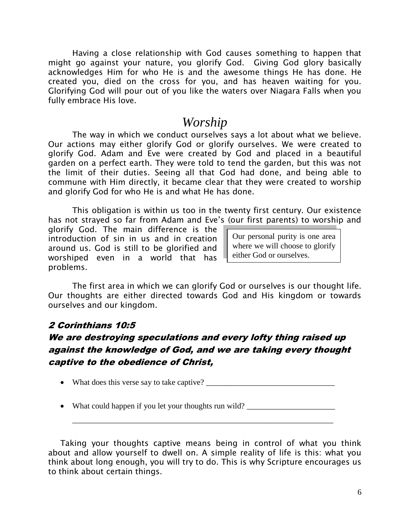Having a close relationship with God causes something to happen that might go against your nature, you glorify God. Giving God glory basically acknowledges Him for who He is and the awesome things He has done. He created you, died on the cross for you, and has heaven waiting for you. Glorifying God will pour out of you like the waters over Niagara Falls when you fully embrace His love.

## *Worship*

The way in which we conduct ourselves says a lot about what we believe. Our actions may either glorify God or glorify ourselves. We were created to glorify God. Adam and Eve were created by God and placed in a beautiful garden on a perfect earth. They were told to tend the garden, but this was not the limit of their duties. Seeing all that God had done, and being able to commune with Him directly, it became clear that they were created to worship and glorify God for who He is and what He has done.

This obligation is within us too in the twenty first century. Our existence has not strayed so far from Adam and Eve's (our first parents) to worship and

glorify God. The main difference is the introduction of sin in us and in creation around us. God is still to be glorified and worshiped even in a world that has problems.

Our personal purity is one area where we will choose to glorify either God or ourselves.

The first area in which we can glorify God or ourselves is our thought life. Our thoughts are either directed towards God and His kingdom or towards ourselves and our kingdom.

### 2 Corinthians 10:5

## We are destroying speculations and every lofty thing raised up against the knowledge of God, and we are taking every thought captive to the obedience of Christ,

- What does this verse say to take captive? \_\_\_\_\_\_\_\_\_\_\_\_\_\_\_\_\_\_\_\_\_\_\_\_\_\_\_\_\_\_\_\_
- What could happen if you let your thoughts run wild?

Taking your thoughts captive means being in control of what you think about and allow yourself to dwell on. A simple reality of life is this: what you think about long enough, you will try to do. This is why Scripture encourages us to think about certain things.

\_\_\_\_\_\_\_\_\_\_\_\_\_\_\_\_\_\_\_\_\_\_\_\_\_\_\_\_\_\_\_\_\_\_\_\_\_\_\_\_\_\_\_\_\_\_\_\_\_\_\_\_\_\_\_\_\_\_\_\_\_\_\_\_\_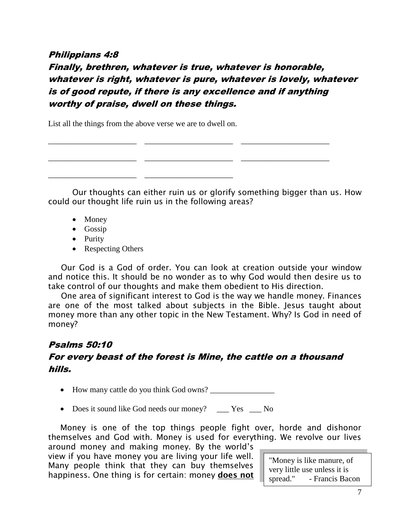#### Philippians 4:8

Finally, brethren, whatever is true, whatever is honorable, whatever is right, whatever is pure, whatever is lovely, whatever is of good repute, if there is any excellence and if anything worthy of praise, dwell on these things.

\_\_\_\_\_\_\_\_\_\_\_\_\_\_\_\_\_\_\_\_\_\_ \_\_\_\_\_\_\_\_\_\_\_\_\_\_\_\_\_\_\_\_\_\_ \_\_\_\_\_\_\_\_\_\_\_\_\_\_\_\_\_\_\_\_\_\_

\_\_\_\_\_\_\_\_\_\_\_\_\_\_\_\_\_\_\_\_\_\_ \_\_\_\_\_\_\_\_\_\_\_\_\_\_\_\_\_\_\_\_\_\_ \_\_\_\_\_\_\_\_\_\_\_\_\_\_\_\_\_\_\_\_\_\_

List all the things from the above verse we are to dwell on.

\_\_\_\_\_\_\_\_\_\_\_\_\_\_\_\_\_\_\_\_\_\_ \_\_\_\_\_\_\_\_\_\_\_\_\_\_\_\_\_\_\_\_\_\_

Our thoughts can either ruin us or glorify something bigger than us. How could our thought life ruin us in the following areas?

- Money
- Gossip
- Purity
- Respecting Others

 Our God is a God of order. You can look at creation outside your window and notice this. It should be no wonder as to why God would then desire us to take control of our thoughts and make them obedient to His direction.

 One area of significant interest to God is the way we handle money. Finances are one of the most talked about subjects in the Bible. Jesus taught about money more than any other topic in the New Testament. Why? Is God in need of money?

#### Psalms 50:10

#### For every beast of the forest is Mine, the cattle on a thousand hills.

How many cattle do you think God owns? \_\_\_\_\_\_\_\_\_\_\_\_\_\_\_\_

• Does it sound like God needs our money? \_\_\_ Yes \_\_ No

Money is one of the top things people fight over, horde and dishonor themselves and God with. Money is used for everything. We revolve our lives around money and making money. By the world's

view if you have money you are living your life well. Many people think that they can buy themselves happiness. One thing is for certain: money **does not**

"Money is like manure, of very little use unless it is spread." - Francis Bacon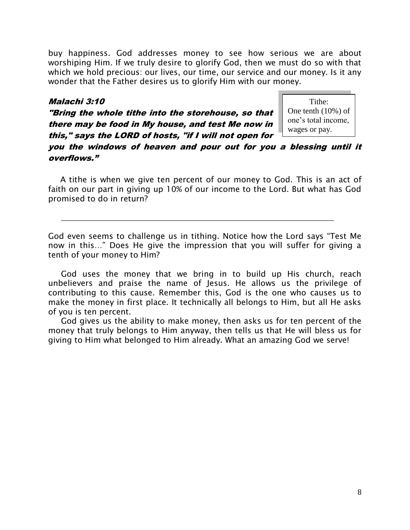buy happiness. God addresses money to see how serious we are about worshiping Him. If we truly desire to glorify God, then we must do so with that which we hold precious: our lives, our time, our service and our money. Is it any wonder that the Father desires us to glorify Him with our money.

#### Malachi 3:10

"Bring the whole tithe into the storehouse, so that there may be food in My house, and test Me now in this," says the LORD of hosts, "if I will not open for

Tithe: One tenth (10%) of one's total income, wages or pay.

you the windows of heaven and pour out for you a blessing until it overflows."

A tithe is when we give ten percent of our money to God. This is an act of faith on our part in giving up 10% of our income to the Lord. But what has God promised to do in return?

\_\_\_\_\_\_\_\_\_\_\_\_\_\_\_\_\_\_\_\_\_\_\_\_\_\_\_\_\_\_\_\_\_\_\_\_\_\_\_\_\_\_\_\_\_\_\_\_\_\_\_\_\_\_\_\_\_\_\_\_\_\_\_\_\_\_\_\_

God even seems to challenge us in tithing. Notice how the Lord says "Test Me now in this…" Does He give the impression that you will suffer for giving a tenth of your money to Him?

 God uses the money that we bring in to build up His church, reach unbelievers and praise the name of Jesus. He allows us the privilege of contributing to this cause. Remember this, God is the one who causes us to make the money in first place. It technically all belongs to Him, but all He asks of you is ten percent.

 God gives us the ability to make money, then asks us for ten percent of the money that truly belongs to Him anyway, then tells us that He will bless us for giving to Him what belonged to Him already. What an amazing God we serve!